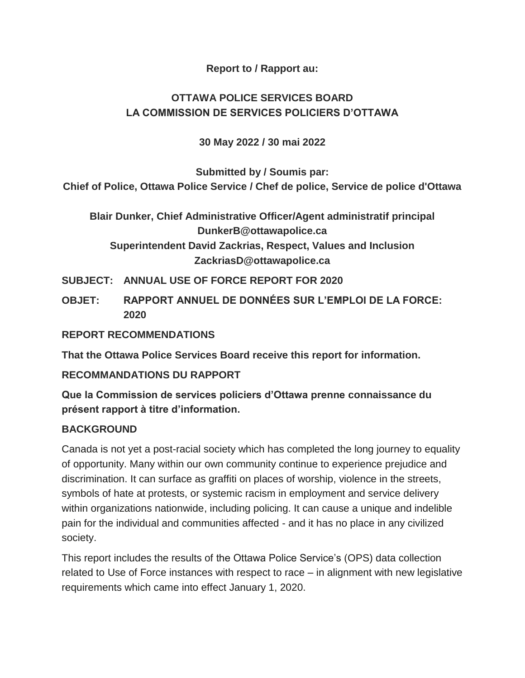#### **Report to / Rapport au:**

# **OTTAWA POLICE SERVICES BOARD LA COMMISSION DE SERVICES POLICIERS D'OTTAWA**

## **30 May 2022 / 30 mai 2022**

**Submitted by / Soumis par:**

**Chief of Police, Ottawa Police Service / Chef de police, Service de police d'Ottawa**

**Blair Dunker, Chief Administrative Officer/Agent administratif principal DunkerB@ottawapolice.ca Superintendent David Zackrias, Respect, Values and Inclusion ZackriasD@ottawapolice.ca** 

**SUBJECT: ANNUAL USE OF FORCE REPORT FOR 2020**

**OBJET: RAPPORT ANNUEL DE DONNÉES SUR L'EMPLOI DE LA FORCE: 2020**

**REPORT RECOMMENDATIONS**

**That the Ottawa Police Services Board receive this report for information.** 

**RECOMMANDATIONS DU RAPPORT**

**Que la Commission de services policiers d'Ottawa prenne connaissance du présent rapport à titre d'information.**

## **BACKGROUND**

Canada is not yet a post-racial society which has completed the long journey to equality of opportunity. Many within our own community continue to experience prejudice and discrimination. It can surface as graffiti on places of worship, violence in the streets, symbols of hate at protests, or systemic racism in employment and service delivery within organizations nationwide, including policing. It can cause a unique and indelible pain for the individual and communities affected - and it has no place in any civilized society.

This report includes the results of the Ottawa Police Service's (OPS) data collection related to Use of Force instances with respect to race – in alignment with new legislative requirements which came into effect January 1, 2020.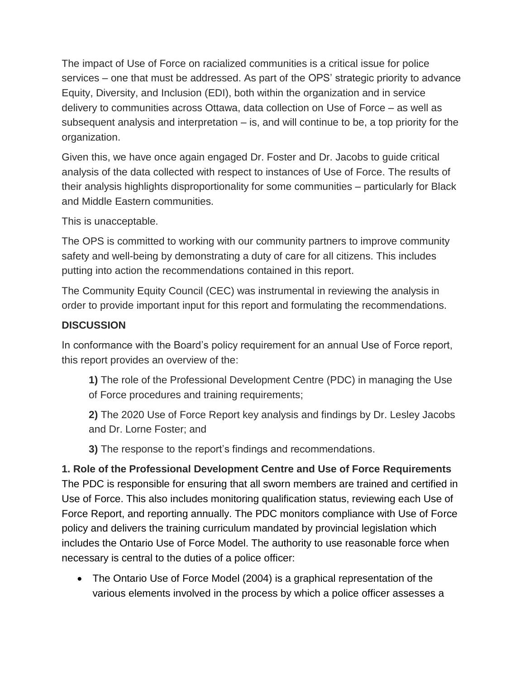The impact of Use of Force on racialized communities is a critical issue for police services – one that must be addressed. As part of the OPS' strategic priority to advance Equity, Diversity, and Inclusion (EDI), both within the organization and in service delivery to communities across Ottawa, data collection on Use of Force – as well as subsequent analysis and interpretation – is, and will continue to be, a top priority for the organization.

Given this, we have once again engaged Dr. Foster and Dr. Jacobs to guide critical analysis of the data collected with respect to instances of Use of Force. The results of their analysis highlights disproportionality for some communities – particularly for Black and Middle Eastern communities.

This is unacceptable.

The OPS is committed to working with our community partners to improve community safety and well-being by demonstrating a duty of care for all citizens. This includes putting into action the recommendations contained in this report.

The Community Equity Council (CEC) was instrumental in reviewing the analysis in order to provide important input for this report and formulating the recommendations.

#### **DISCUSSION**

In conformance with the Board's policy requirement for an annual Use of Force report, this report provides an overview of the:

**1)** The role of the Professional Development Centre (PDC) in managing the Use of Force procedures and training requirements;

**2)** The 2020 Use of Force Report key analysis and findings by Dr. Lesley Jacobs and Dr. Lorne Foster; and

**3)** The response to the report's findings and recommendations.

**1. Role of the Professional Development Centre and Use of Force Requirements** The PDC is responsible for ensuring that all sworn members are trained and certified in Use of Force. This also includes monitoring qualification status, reviewing each Use of Force Report, and reporting annually. The PDC monitors compliance with Use of Force policy and delivers the training curriculum mandated by provincial legislation which includes the Ontario Use of Force Model. The authority to use reasonable force when necessary is central to the duties of a police officer:

• The Ontario Use of Force Model (2004) is a graphical representation of the various elements involved in the process by which a police officer assesses a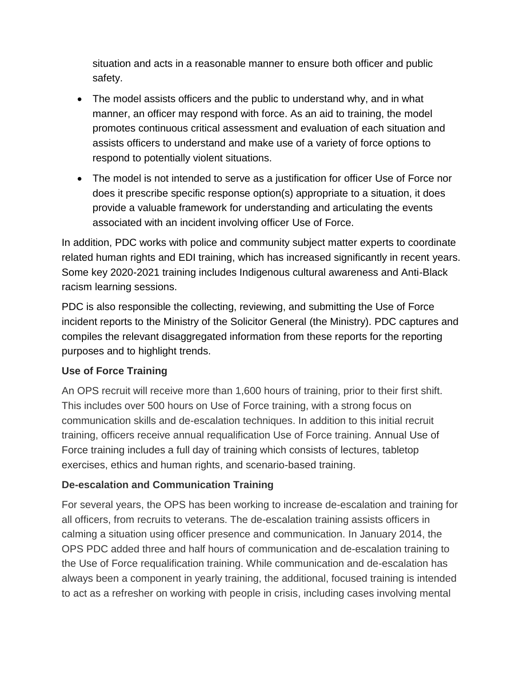situation and acts in a reasonable manner to ensure both officer and public safety.

- The model assists officers and the public to understand why, and in what manner, an officer may respond with force. As an aid to training, the model promotes continuous critical assessment and evaluation of each situation and assists officers to understand and make use of a variety of force options to respond to potentially violent situations.
- The model is not intended to serve as a justification for officer Use of Force nor does it prescribe specific response option(s) appropriate to a situation, it does provide a valuable framework for understanding and articulating the events associated with an incident involving officer Use of Force.

In addition, PDC works with police and community subject matter experts to coordinate related human rights and EDI training, which has increased significantly in recent years. Some key 2020-2021 training includes Indigenous cultural awareness and Anti-Black racism learning sessions.

PDC is also responsible the collecting, reviewing, and submitting the Use of Force incident reports to the Ministry of the Solicitor General (the Ministry). PDC captures and compiles the relevant disaggregated information from these reports for the reporting purposes and to highlight trends.

## **Use of Force Training**

An OPS recruit will receive more than 1,600 hours of training, prior to their first shift. This includes over 500 hours on Use of Force training, with a strong focus on communication skills and de-escalation techniques. In addition to this initial recruit training, officers receive annual requalification Use of Force training. Annual Use of Force training includes a full day of training which consists of lectures, tabletop exercises, ethics and human rights, and scenario-based training.

## **De-escalation and Communication Training**

For several years, the OPS has been working to increase de-escalation and training for all officers, from recruits to veterans. The de-escalation training assists officers in calming a situation using officer presence and communication. In January 2014, the OPS PDC added three and half hours of communication and de-escalation training to the Use of Force requalification training. While communication and de-escalation has always been a component in yearly training, the additional, focused training is intended to act as a refresher on working with people in crisis, including cases involving mental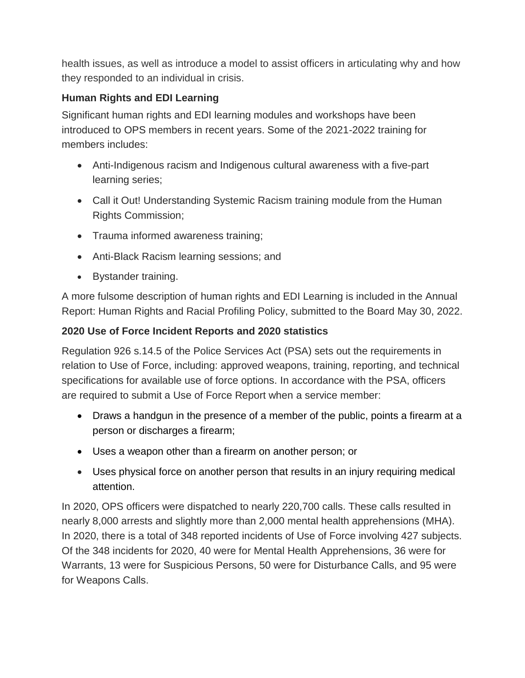health issues, as well as introduce a model to assist officers in articulating why and how they responded to an individual in crisis.

# **Human Rights and EDI Learning**

Significant human rights and EDI learning modules and workshops have been introduced to OPS members in recent years. Some of the 2021-2022 training for members includes:

- Anti-Indigenous racism and Indigenous cultural awareness with a five-part learning series;
- Call it Out! Understanding Systemic Racism training module from the Human Rights Commission;
- Trauma informed awareness training;
- Anti-Black Racism learning sessions; and
- Bystander training.

A more fulsome description of human rights and EDI Learning is included in the Annual Report: Human Rights and Racial Profiling Policy, submitted to the Board May 30, 2022.

## **2020 Use of Force Incident Reports and 2020 statistics**

Regulation 926 s.14.5 of the Police Services Act (PSA) sets out the requirements in relation to Use of Force, including: approved weapons, training, reporting, and technical specifications for available use of force options. In accordance with the PSA, officers are required to submit a Use of Force Report when a service member:

- Draws a handgun in the presence of a member of the public, points a firearm at a person or discharges a firearm;
- Uses a weapon other than a firearm on another person; or
- Uses physical force on another person that results in an injury requiring medical attention.

In 2020, OPS officers were dispatched to nearly 220,700 calls. These calls resulted in nearly 8,000 arrests and slightly more than 2,000 mental health apprehensions (MHA). In 2020, there is a total of 348 reported incidents of Use of Force involving 427 subjects. Of the 348 incidents for 2020, 40 were for Mental Health Apprehensions, 36 were for Warrants, 13 were for Suspicious Persons, 50 were for Disturbance Calls, and 95 were for Weapons Calls.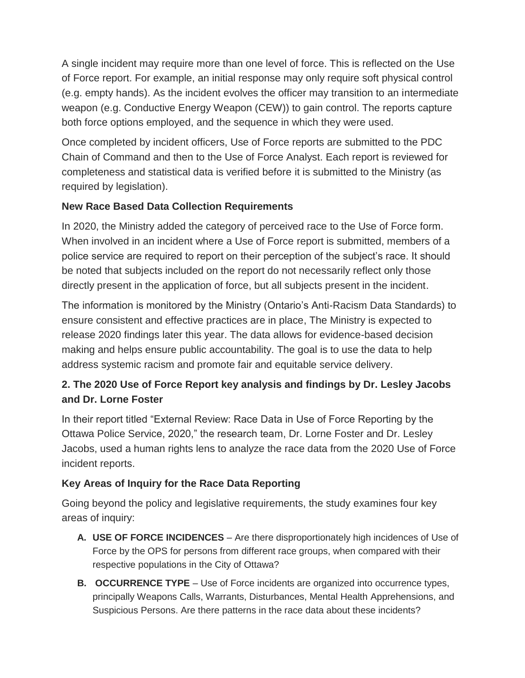A single incident may require more than one level of force. This is reflected on the Use of Force report. For example, an initial response may only require soft physical control (e.g. empty hands). As the incident evolves the officer may transition to an intermediate weapon (e.g. Conductive Energy Weapon (CEW)) to gain control. The reports capture both force options employed, and the sequence in which they were used.

Once completed by incident officers, Use of Force reports are submitted to the PDC Chain of Command and then to the Use of Force Analyst. Each report is reviewed for completeness and statistical data is verified before it is submitted to the Ministry (as required by legislation).

# **New Race Based Data Collection Requirements**

In 2020, the Ministry added the category of perceived race to the Use of Force form. When involved in an incident where a Use of Force report is submitted, members of a police service are required to report on their perception of the subject's race. It should be noted that subjects included on the report do not necessarily reflect only those directly present in the application of force, but all subjects present in the incident.

The information is monitored by the Ministry (Ontario's Anti-Racism Data Standards) to ensure consistent and effective practices are in place, The Ministry is expected to release 2020 findings later this year. The data allows for evidence-based decision making and helps ensure public accountability. The goal is to use the data to help address systemic racism and promote fair and equitable service delivery.

# **2. The 2020 Use of Force Report key analysis and findings by Dr. Lesley Jacobs and Dr. Lorne Foster**

In their report titled "External Review: Race Data in Use of Force Reporting by the Ottawa Police Service, 2020," the research team, Dr. Lorne Foster and Dr. Lesley Jacobs, used a human rights lens to analyze the race data from the 2020 Use of Force incident reports.

## **Key Areas of Inquiry for the Race Data Reporting**

Going beyond the policy and legislative requirements, the study examines four key areas of inquiry:

- **A. USE OF FORCE INCIDENCES** Are there disproportionately high incidences of Use of Force by the OPS for persons from different race groups, when compared with their respective populations in the City of Ottawa?
- **B. OCCURRENCE TYPE** Use of Force incidents are organized into occurrence types, principally Weapons Calls, Warrants, Disturbances, Mental Health Apprehensions, and Suspicious Persons. Are there patterns in the race data about these incidents?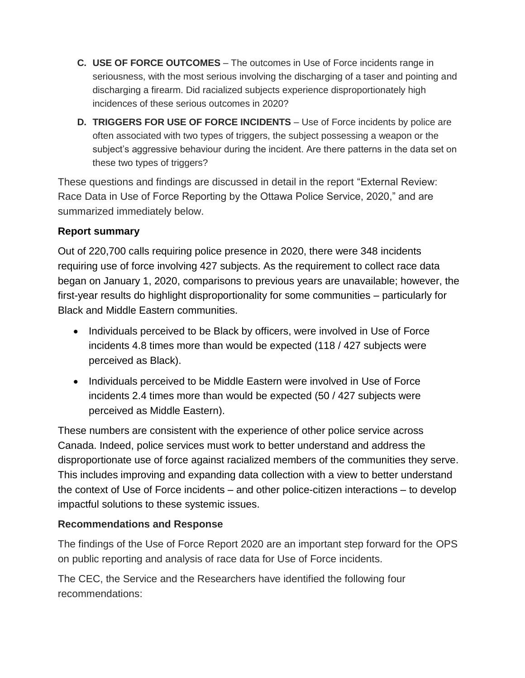- **C. USE OF FORCE OUTCOMES** The outcomes in Use of Force incidents range in seriousness, with the most serious involving the discharging of a taser and pointing and discharging a firearm. Did racialized subjects experience disproportionately high incidences of these serious outcomes in 2020?
- **D. TRIGGERS FOR USE OF FORCE INCIDENTS** Use of Force incidents by police are often associated with two types of triggers, the subject possessing a weapon or the subject's aggressive behaviour during the incident. Are there patterns in the data set on these two types of triggers?

These questions and findings are discussed in detail in the report "External Review: Race Data in Use of Force Reporting by the Ottawa Police Service, 2020," and are summarized immediately below.

#### **Report summary**

Out of 220,700 calls requiring police presence in 2020, there were 348 incidents requiring use of force involving 427 subjects. As the requirement to collect race data began on January 1, 2020, comparisons to previous years are unavailable; however, the first-year results do highlight disproportionality for some communities – particularly for Black and Middle Eastern communities.

- Individuals perceived to be Black by officers, were involved in Use of Force incidents 4.8 times more than would be expected (118 / 427 subjects were perceived as Black).
- Individuals perceived to be Middle Eastern were involved in Use of Force incidents 2.4 times more than would be expected (50 / 427 subjects were perceived as Middle Eastern).

These numbers are consistent with the experience of other police service across Canada. Indeed, police services must work to better understand and address the disproportionate use of force against racialized members of the communities they serve. This includes improving and expanding data collection with a view to better understand the context of Use of Force incidents – and other police-citizen interactions – to develop impactful solutions to these systemic issues.

#### **Recommendations and Response**

The findings of the Use of Force Report 2020 are an important step forward for the OPS on public reporting and analysis of race data for Use of Force incidents.

The CEC, the Service and the Researchers have identified the following four recommendations: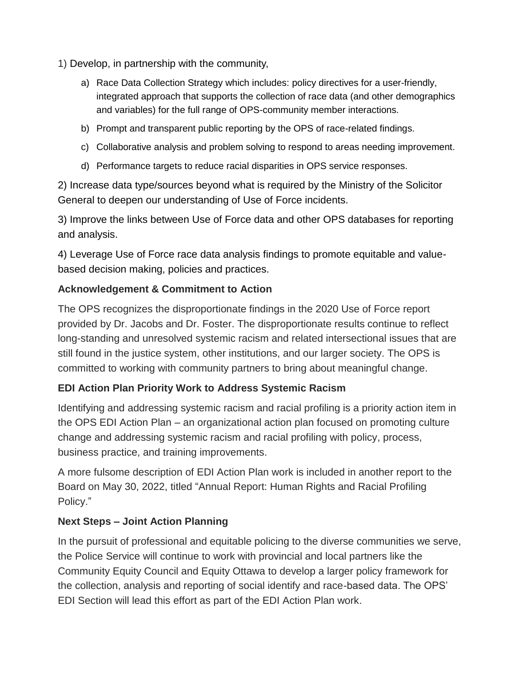- 1) Develop, in partnership with the community,
	- a) Race Data Collection Strategy which includes: policy directives for a user-friendly, integrated approach that supports the collection of race data (and other demographics and variables) for the full range of OPS-community member interactions.
	- b) Prompt and transparent public reporting by the OPS of race-related findings.
	- c) Collaborative analysis and problem solving to respond to areas needing improvement.
	- d) Performance targets to reduce racial disparities in OPS service responses.

2) Increase data type/sources beyond what is required by the Ministry of the Solicitor General to deepen our understanding of Use of Force incidents.

3) Improve the links between Use of Force data and other OPS databases for reporting and analysis.

4) Leverage Use of Force race data analysis findings to promote equitable and valuebased decision making, policies and practices.

## **Acknowledgement & Commitment to Action**

The OPS recognizes the disproportionate findings in the 2020 Use of Force report provided by Dr. Jacobs and Dr. Foster. The disproportionate results continue to reflect long-standing and unresolved systemic racism and related intersectional issues that are still found in the justice system, other institutions, and our larger society. The OPS is committed to working with community partners to bring about meaningful change.

## **EDI Action Plan Priority Work to Address Systemic Racism**

Identifying and addressing systemic racism and racial profiling is a priority action item in the OPS EDI Action Plan – an organizational action plan focused on promoting culture change and addressing systemic racism and racial profiling with policy, process, business practice, and training improvements.

A more fulsome description of EDI Action Plan work is included in another report to the Board on May 30, 2022, titled "Annual Report: Human Rights and Racial Profiling Policy."

# **Next Steps – Joint Action Planning**

In the pursuit of professional and equitable policing to the diverse communities we serve, the Police Service will continue to work with provincial and local partners like the Community Equity Council and Equity Ottawa to develop a larger policy framework for the collection, analysis and reporting of social identify and race-based data. The OPS' EDI Section will lead this effort as part of the EDI Action Plan work.